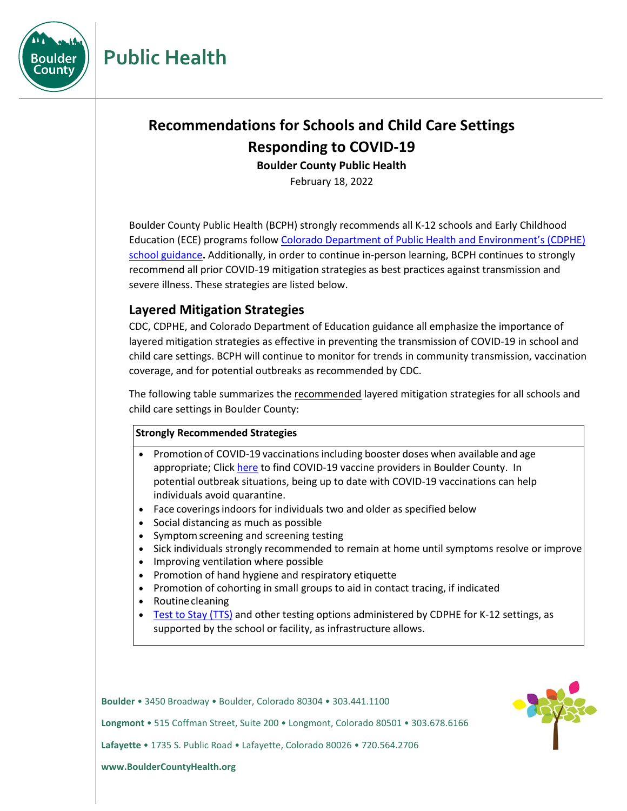

# **Public Health**

# **Recommendations for Schools and Child Care Settings Responding to COVID-19**

**Boulder County Public Health**

February 18, 2022

Boulder County Public Health (BCPH) strongly recommends all K-12 schools and Early Childhood Education (ECE) programs follow [Colorado Department of Public Health and Environment's \(CDPHE\)](https://covid19.colorado.gov/practical-guide-for-operationalizing-cdc-school-guidance)  [school guidance](https://covid19.colorado.gov/practical-guide-for-operationalizing-cdc-school-guidance)**.** Additionally, in order to continue in-person learning, BCPH continues to strongly recommend all prior COVID-19 mitigation strategies as best practices against transmission and severe illness. These strategies are listed below.

## **Layered Mitigation Strategies**

CDC, CDPHE, and Colorado Department of Education guidance all emphasize the importance of layered mitigation strategies as effective in preventing the transmission of COVID-19 in school and child care settings. BCPH will continue to monitor for trends in community transmission, vaccination coverage, and for potential outbreaks as recommended by CDC.

The following table summarizes the recommended layered mitigation strategies for all schools and child care settings in Boulder County:

### **Strongly Recommended Strategies**

- Promotion of COVID-19 vaccinations including booster doses when available and age appropriate; Clic[k here](https://www.bouldercounty.org/families/disease/covid-19-information/covid-19-vaccine-information/vaccines/) to find COVID-19 vaccine providers in Boulder County. In potential outbreak situations, being up to date with COVID-19 vaccinations can help individuals avoid quarantine.
- Face coveringsindoors for individuals two and older as specified below
- Social distancing as much as possible
- Symptomscreening and screening testing
- Sick individuals strongly recommended to remain at home until symptoms resolve or improve
- Improving ventilation where possible
- Promotion of hand hygiene and respiratory etiquette
- Promotion of cohorting in small groups to aid in contact tracing, if indicated
- Routinecleaning
- [Test to Stay \(TTS\)](https://covid19.colorado.gov/free-testing-schools/test-to-stay) and other testing options administered by CDPHE for K-12 settings, as supported by the school or facility, as infrastructure allows.

**Boulder** • 3450 Broadway • Boulder, Colorado 80304 • 303.441.1100 **Longmont** • 515 Coffman Street, Suite 200 • Longmont, Colorado 80501 • 303.678.6166 **Lafayette** • 1735 S. Public Road • Lafayette, Colorado 80026 • 720.564.2706



**www.BoulderCountyHealth.org**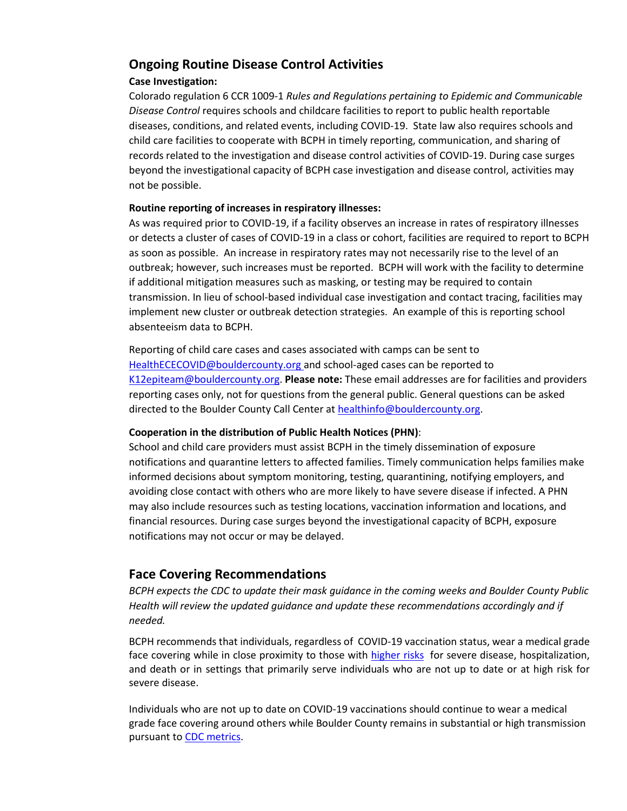## **Ongoing Routine Disease Control Activities**

## **Case Investigation:**

Colorado regulation 6 CCR 1009-1 *Rules and Regulations pertaining to Epidemic and Communicable Disease Control* requires schools and childcare facilities to report to public health reportable diseases, conditions, and related events, including COVID-19. State law also requires schools and child care facilities to cooperate with BCPH in timely reporting, communication, and sharing of records related to the investigation and disease control activities of COVID-19. During case surges beyond the investigational capacity of BCPH case investigation and disease control, activities may not be possible.

### **Routine reporting of increases in respiratory illnesses:**

As was required prior to COVID-19, if a facility observes an increase in rates of respiratory illnesses or detects a cluster of cases of COVID-19 in a class or cohort, facilities are required to report to BCPH as soon as possible. An increase in respiratory rates may not necessarily rise to the level of an outbreak; however, such increases must be reported. BCPH will work with the facility to determine if additional mitigation measures such as masking, or testing may be required to contain transmission. In lieu of school-based individual case investigation and contact tracing, facilities may implement new cluster or outbreak detection strategies. An example of this is reporting school absenteeism data to BCPH.

Reporting of child care cases and cases associated with camps can be sent to [HealthECECOVID@bouldercounty.org](mailto:HealthECECOVID@bouldercounty.org) and school-aged cases can be reported to [K12epiteam@bouldercounty.org.](mailto:K12epiteam@bouldercounty.org) **Please note:** These email addresses are for facilities and providers reporting cases only, not for questions from the general public. General questions can be asked directed to the Boulder County Call Center at [healthinfo@bouldercounty.org.](mailto:healthinfo@bouldercounty.org)

### **Cooperation in the distribution of Public Health Notices (PHN)**:

School and child care providers must assist BCPH in the timely dissemination of exposure notifications and quarantine letters to affected families. Timely communication helps families make informed decisions about symptom monitoring, testing, quarantining, notifying employers, and avoiding close contact with others who are more likely to have severe disease if infected. A PHN may also include resources such as testing locations, vaccination information and locations, and financial resources. During case surges beyond the investigational capacity of BCPH, exposure notifications may not occur or may be delayed.

## **Face Covering Recommendations**

*BCPH expects the CDC to update their mask guidance in the coming weeks and Boulder County Public Health will review the updated guidance and update these recommendations accordingly and if needed.*

BCPH recommends that individuals, regardless of COVID-19 vaccination status, wear a medical grade face covering while in close proximity to those with [higher risks](https://www.cdc.gov/coronavirus/2019-ncov/need-extra-precautions/people-with-medical-conditions.html) for severe disease, hospitalization, and death or in settings that primarily serve individuals who are not up to date or at high risk for severe disease.

Individuals who are not up to date on COVID-19 vaccinations should continue to wear a medical grade face covering around others while Boulder County remains in substantial or high transmission pursuant t[o CDC metrics.](https://covid.cdc.gov/covid-data-tracker/#county-view?list_select_state=all_states&list_select_county=all_counties&data-type=Risk)